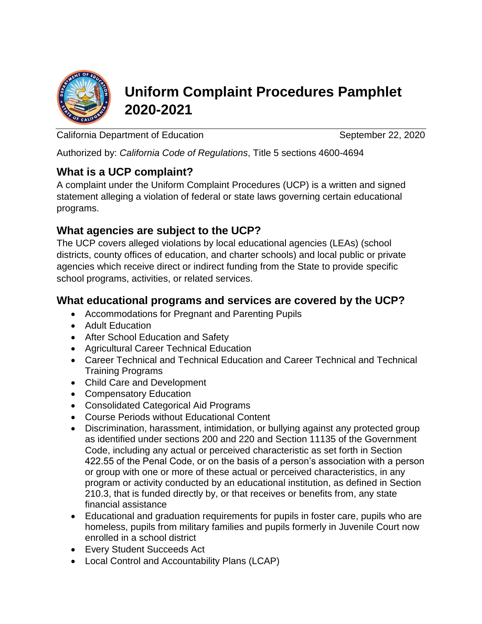

# **Uniform Complaint Procedures Pamphlet 2020-2021**

California Department of Education California September 22, 2020

Authorized by: *California Code of Regulations*, Title 5 sections 4600-4694

### **What is a UCP complaint?**

A complaint under the Uniform Complaint Procedures (UCP) is a written and signed statement alleging a violation of federal or state laws governing certain educational programs.

### **What agencies are subject to the UCP?**

The UCP covers alleged violations by local educational agencies (LEAs) (school districts, county offices of education, and charter schools) and local public or private agencies which receive direct or indirect funding from the State to provide specific school programs, activities, or related services.

### **What educational programs and services are covered by the UCP?**

- Accommodations for Pregnant and Parenting Pupils
- Adult Education
- After School Education and Safety
- Agricultural Career Technical Education
- Career Technical and Technical Education and Career Technical and Technical Training Programs
- Child Care and Development
- Compensatory Education
- Consolidated Categorical Aid Programs
- Course Periods without Educational Content
- Discrimination, harassment, intimidation, or bullying against any protected group as identified under sections 200 and 220 and Section 11135 of the Government Code, including any actual or perceived characteristic as set forth in Section 422.55 of the Penal Code, or on the basis of a person's association with a person or group with one or more of these actual or perceived characteristics, in any program or activity conducted by an educational institution, as defined in Section 210.3, that is funded directly by, or that receives or benefits from, any state financial assistance
- Educational and graduation requirements for pupils in foster care, pupils who are homeless, pupils from military families and pupils formerly in Juvenile Court now enrolled in a school district
- Every Student Succeeds Act
- Local Control and Accountability Plans (LCAP)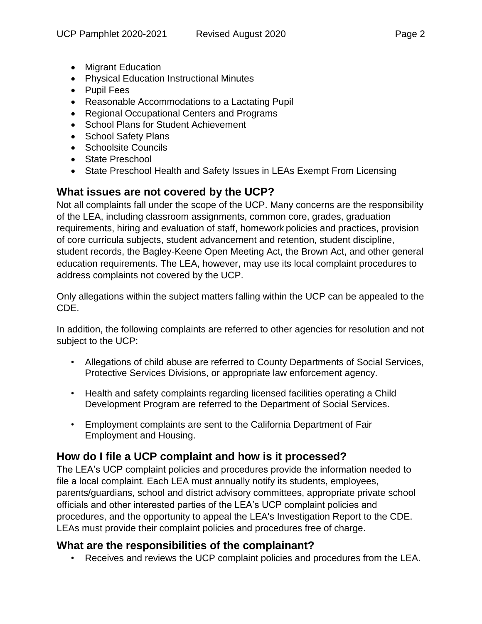- 
- Migrant Education
- Physical Education Instructional Minutes
- Pupil Fees
- Reasonable Accommodations to a Lactating Pupil
- Regional Occupational Centers and Programs
- School Plans for Student Achievement
- School Safety Plans
- Schoolsite Councils
- State Preschool
- State Preschool Health and Safety Issues in LEAs Exempt From Licensing

# **What issues are not covered by the UCP?**

Not all complaints fall under the scope of the UCP. Many concerns are the responsibility of the LEA, including classroom assignments, common core, grades, graduation requirements, hiring and evaluation of staff, homework policies and practices, provision of core curricula subjects, student advancement and retention, student discipline, student records, the Bagley-Keene Open Meeting Act, the Brown Act, and other general education requirements. The LEA, however, may use its local complaint procedures to address complaints not covered by the UCP.

Only allegations within the subject matters falling within the UCP can be appealed to the CDE.

In addition, the following complaints are referred to other agencies for resolution and not subject to the UCP:

- Allegations of child abuse are referred to County Departments of Social Services, Protective Services Divisions, or appropriate law enforcement agency.
- Health and safety complaints regarding licensed facilities operating a Child Development Program are referred to the Department of Social Services.
- Employment complaints are sent to the California Department of Fair Employment and Housing.

# **How do I file a UCP complaint and how is it processed?**

The LEA's UCP complaint policies and procedures provide the information needed to file a local complaint. Each LEA must annually notify its students, employees, parents/guardians, school and district advisory committees, appropriate private school officials and other interested parties of the LEA's UCP complaint policies and procedures, and the opportunity to appeal the LEA's Investigation Report to the CDE. LEAs must provide their complaint policies and procedures free of charge.

### **What are the responsibilities of the complainant?**

• Receives and reviews the UCP complaint policies and procedures from the LEA.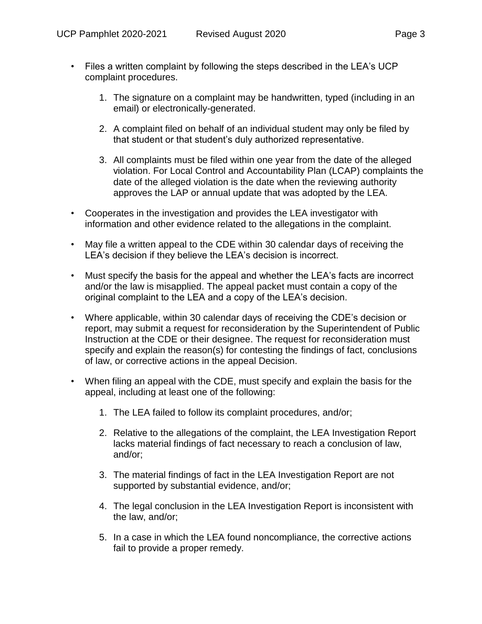- Files a written complaint by following the steps described in the LEA's UCP complaint procedures.
	- 1. The signature on a complaint may be handwritten, typed (including in an email) or electronically-generated.
	- 2. A complaint filed on behalf of an individual student may only be filed by that student or that student's duly authorized representative.
	- 3. All complaints must be filed within one year from the date of the alleged violation. For Local Control and Accountability Plan (LCAP) complaints the date of the alleged violation is the date when the reviewing authority approves the LAP or annual update that was adopted by the LEA.
- Cooperates in the investigation and provides the LEA investigator with information and other evidence related to the allegations in the complaint.
- May file a written appeal to the CDE within 30 calendar days of receiving the LEA's decision if they believe the LEA's decision is incorrect.
- Must specify the basis for the appeal and whether the LEA's facts are incorrect and/or the law is misapplied. The appeal packet must contain a copy of the original complaint to the LEA and a copy of the LEA's decision.
- Where applicable, within 30 calendar days of receiving the CDE's decision or report, may submit a request for reconsideration by the Superintendent of Public Instruction at the CDE or their designee. The request for reconsideration must specify and explain the reason(s) for contesting the findings of fact, conclusions of law, or corrective actions in the appeal Decision.
- When filing an appeal with the CDE, must specify and explain the basis for the appeal, including at least one of the following:
	- 1. The LEA failed to follow its complaint procedures, and/or;
	- 2. Relative to the allegations of the complaint, the LEA Investigation Report lacks material findings of fact necessary to reach a conclusion of law, and/or;
	- 3. The material findings of fact in the LEA Investigation Report are not supported by substantial evidence, and/or;
	- 4. The legal conclusion in the LEA Investigation Report is inconsistent with the law, and/or;
	- 5. In a case in which the LEA found noncompliance, the corrective actions fail to provide a proper remedy.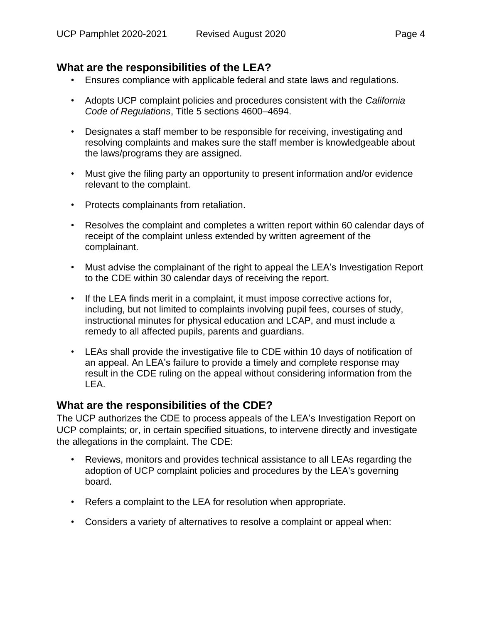# **What are the responsibilities of the LEA?**

- Ensures compliance with applicable federal and state laws and regulations.
- Adopts UCP complaint policies and procedures consistent with the *California Code of Regulations*, Title 5 sections 4600–4694.
- Designates a staff member to be responsible for receiving, investigating and resolving complaints and makes sure the staff member is knowledgeable about the laws/programs they are assigned.
- Must give the filing party an opportunity to present information and/or evidence relevant to the complaint.
- Protects complainants from retaliation.
- Resolves the complaint and completes a written report within 60 calendar days of receipt of the complaint unless extended by written agreement of the complainant.
- Must advise the complainant of the right to appeal the LEA's Investigation Report to the CDE within 30 calendar days of receiving the report.
- If the LEA finds merit in a complaint, it must impose corrective actions for, including, but not limited to complaints involving pupil fees, courses of study, instructional minutes for physical education and LCAP, and must include a remedy to all affected pupils, parents and guardians.
- LEAs shall provide the investigative file to CDE within 10 days of notification of an appeal. An LEA's failure to provide a timely and complete response may result in the CDE ruling on the appeal without considering information from the LEA.

#### **What are the responsibilities of the CDE?**

The UCP authorizes the CDE to process appeals of the LEA's Investigation Report on UCP complaints; or, in certain specified situations, to intervene directly and investigate the allegations in the complaint. The CDE:

- Reviews, monitors and provides technical assistance to all LEAs regarding the adoption of UCP complaint policies and procedures by the LEA's governing board.
- Refers a complaint to the LEA for resolution when appropriate.
- Considers a variety of alternatives to resolve a complaint or appeal when: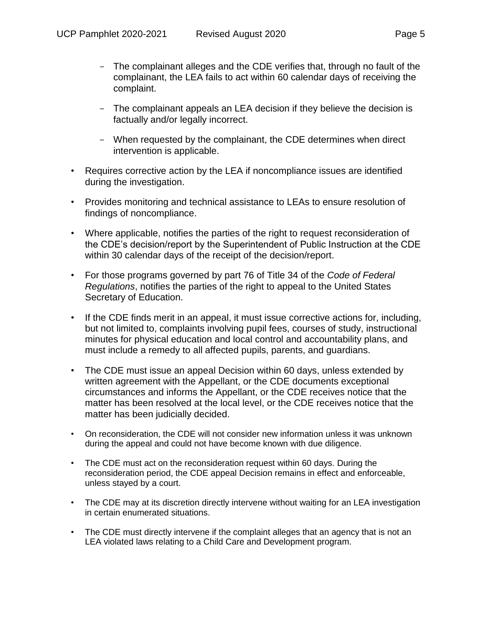- The complainant alleges and the CDE verifies that, through no fault of the complainant, the LEA fails to act within 60 calendar days of receiving the complaint.
- The complainant appeals an LEA decision if they believe the decision is factually and/or legally incorrect.
- When requested by the complainant, the CDE determines when direct intervention is applicable.
- Requires corrective action by the LEA if noncompliance issues are identified during the investigation.
- Provides monitoring and technical assistance to LEAs to ensure resolution of findings of noncompliance.
- Where applicable, notifies the parties of the right to request reconsideration of the CDE's decision/report by the Superintendent of Public Instruction at the CDE within 30 calendar days of the receipt of the decision/report.
- For those programs governed by part 76 of Title 34 of the *Code of Federal Regulations*, notifies the parties of the right to appeal to the United States Secretary of Education.
- If the CDE finds merit in an appeal, it must issue corrective actions for, including, but not limited to, complaints involving pupil fees, courses of study, instructional minutes for physical education and local control and accountability plans, and must include a remedy to all affected pupils, parents, and guardians.
- The CDE must issue an appeal Decision within 60 days, unless extended by written agreement with the Appellant, or the CDE documents exceptional circumstances and informs the Appellant, or the CDE receives notice that the matter has been resolved at the local level, or the CDE receives notice that the matter has been judicially decided.
- On reconsideration, the CDE will not consider new information unless it was unknown during the appeal and could not have become known with due diligence.
- The CDE must act on the reconsideration request within 60 days. During the reconsideration period, the CDE appeal Decision remains in effect and enforceable, unless stayed by a court.
- The CDE may at its discretion directly intervene without waiting for an LEA investigation in certain enumerated situations.
- The CDE must directly intervene if the complaint alleges that an agency that is not an LEA violated laws relating to a Child Care and Development program.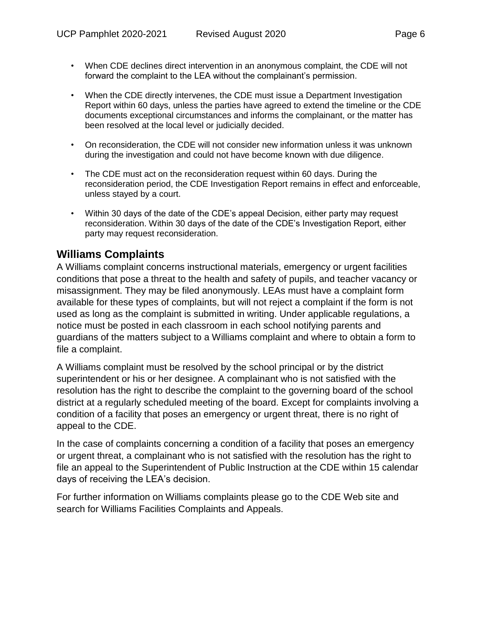- When CDE declines direct intervention in an anonymous complaint, the CDE will not forward the complaint to the LEA without the complainant's permission.
- When the CDE directly intervenes, the CDE must issue a Department Investigation Report within 60 days, unless the parties have agreed to extend the timeline or the CDE documents exceptional circumstances and informs the complainant, or the matter has been resolved at the local level or judicially decided.
- On reconsideration, the CDE will not consider new information unless it was unknown during the investigation and could not have become known with due diligence.
- The CDE must act on the reconsideration request within 60 days. During the reconsideration period, the CDE Investigation Report remains in effect and enforceable, unless stayed by a court.
- Within 30 days of the date of the CDE's appeal Decision, either party may request reconsideration. Within 30 days of the date of the CDE's Investigation Report, either party may request reconsideration.

### **Williams Complaints**

A Williams complaint concerns instructional materials, emergency or urgent facilities conditions that pose a threat to the health and safety of pupils, and teacher vacancy or misassignment. They may be filed anonymously. LEAs must have a complaint form available for these types of complaints, but will not reject a complaint if the form is not used as long as the complaint is submitted in writing. Under applicable regulations, a notice must be posted in each classroom in each school notifying parents and guardians of the matters subject to a Williams complaint and where to obtain a form to file a complaint.

A Williams complaint must be resolved by the school principal or by the district superintendent or his or her designee. A complainant who is not satisfied with the resolution has the right to describe the complaint to the governing board of the school district at a regularly scheduled meeting of the board. Except for complaints involving a condition of a facility that poses an emergency or urgent threat, there is no right of appeal to the CDE.

In the case of complaints concerning a condition of a facility that poses an emergency or urgent threat, a complainant who is not satisfied with the resolution has the right to file an appeal to the Superintendent of Public Instruction at the CDE within 15 calendar days of receiving the LEA's decision.

For further information on Williams complaints please go to the CDE Web site and search for Williams Facilities Complaints and Appeals.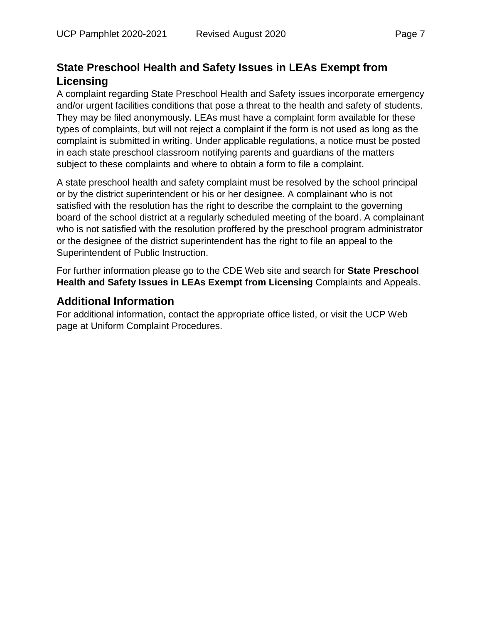# **State Preschool Health and Safety Issues in LEAs Exempt from Licensing**

A complaint regarding State Preschool Health and Safety issues incorporate emergency and/or urgent facilities conditions that pose a threat to the health and safety of students. They may be filed anonymously. LEAs must have a complaint form available for these types of complaints, but will not reject a complaint if the form is not used as long as the complaint is submitted in writing. Under applicable regulations, a notice must be posted in each state preschool classroom notifying parents and guardians of the matters subject to these complaints and where to obtain a form to file a complaint.

A state preschool health and safety complaint must be resolved by the school principal or by the district superintendent or his or her designee. A complainant who is not satisfied with the resolution has the right to describe the complaint to the governing board of the school district at a regularly scheduled meeting of the board. A complainant who is not satisfied with the resolution proffered by the preschool program administrator or the designee of the district superintendent has the right to file an appeal to the Superintendent of Public Instruction.

For further information please go to the CDE Web site and search for **State Preschool Health and Safety Issues in LEAs Exempt from Licensing** Complaints and Appeals.

### **Additional Information**

For additional information, contact the appropriate office listed, or visit the UCP Web page at Uniform Complaint Procedures.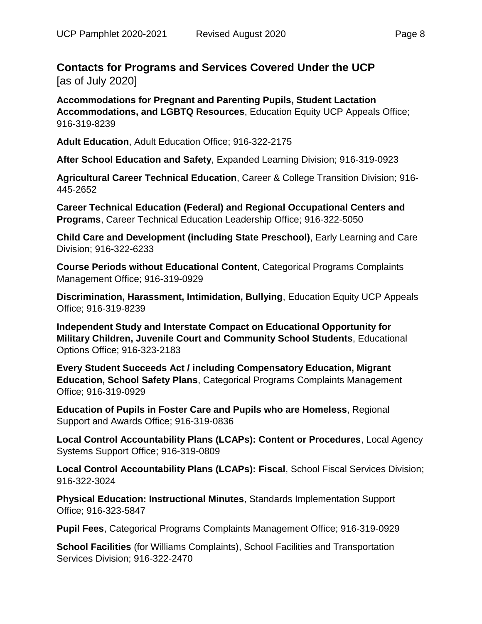### **Contacts for Programs and Services Covered Under the UCP** [as of July 2020]

**Accommodations for Pregnant and Parenting Pupils, Student Lactation Accommodations, and LGBTQ Resources**, Education Equity UCP Appeals Office; 916-319-8239

**Adult Education**, Adult Education Office; 916-322-2175

**After School Education and Safety**, Expanded Learning Division; 916-319-0923

**Agricultural Career Technical Education**, Career & College Transition Division; 916- 445-2652

**Career Technical Education (Federal) and Regional Occupational Centers and Programs**, Career Technical Education Leadership Office; 916-322-5050

**Child Care and Development (including State Preschool)**, Early Learning and Care Division; 916-322-6233

**Course Periods without Educational Content**, Categorical Programs Complaints Management Office; 916-319-0929

**Discrimination, Harassment, Intimidation, Bullying**, Education Equity UCP Appeals Office; 916-319-8239

**Independent Study and Interstate Compact on Educational Opportunity for Military Children, Juvenile Court and Community School Students**, Educational Options Office; 916-323-2183

**Every Student Succeeds Act / including Compensatory Education, Migrant Education, School Safety Plans**, Categorical Programs Complaints Management Office; 916-319-0929

**Education of Pupils in Foster Care and Pupils who are Homeless**, Regional Support and Awards Office; 916-319-0836

**Local Control Accountability Plans (LCAPs): Content or Procedures**, Local Agency Systems Support Office; 916-319-0809

**Local Control Accountability Plans (LCAPs): Fiscal**, School Fiscal Services Division; 916-322-3024

**Physical Education: Instructional Minutes**, Standards Implementation Support Office; 916-323-5847

**Pupil Fees**, Categorical Programs Complaints Management Office; 916-319-0929

**School Facilities** (for Williams Complaints), School Facilities and Transportation Services Division; 916-322-2470